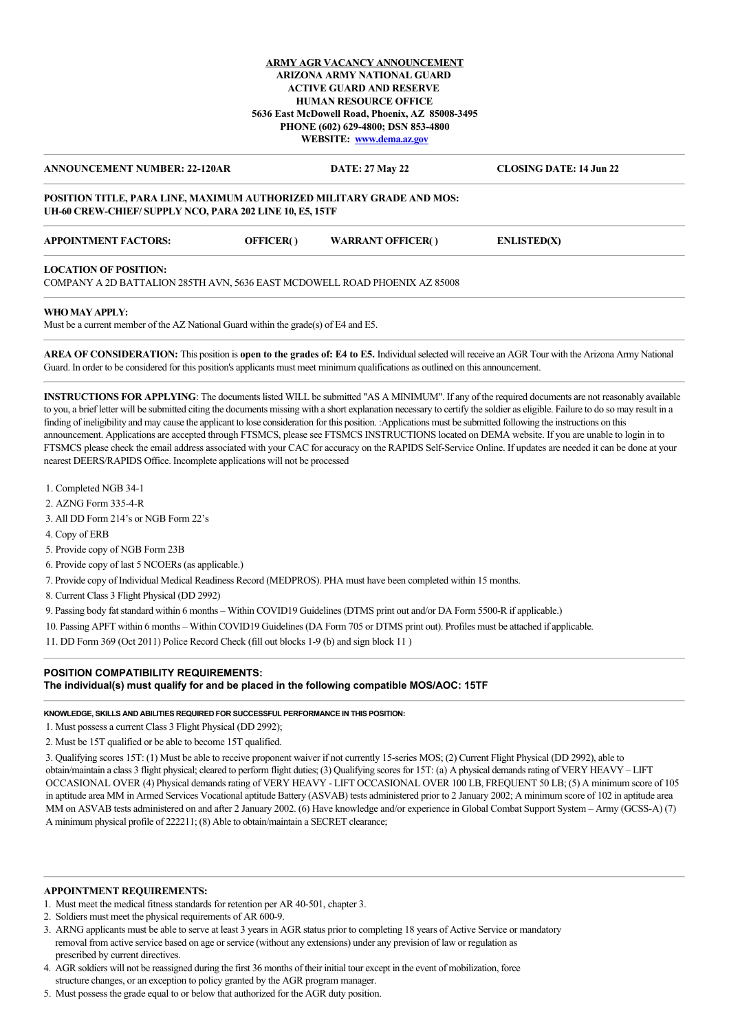# **ARMY AGR VACANCY ANNOUNCEMENT ARIZONA ARMY NATIONAL GUARD ACTIVE GUARD AND RESERVE HUMAN RESOURCE OFFICE 5636 East McDowell Road, Phoenix, AZ 85008-3495 PHONE (602) 629-4800; DSN 853-4800 WEBSITE: [www.dema.az.gov](http://www.dema.az.gov/)**

**ANNOUNCEMENT NUMBER: 22-120AR DATE: 27 May 22 CLOSING DATE: 14 Jun 22**

### **POSITION TITLE, PARA LINE, MAXIMUM AUTHORIZED MILITARY GRADE AND MOS: UH-60 CREW-CHIEF/ SUPPLY NCO, PARA 202 LINE 10, E5, 15TF**

| <b>APPOINTMENT FACTORS:</b> | <b>OFFICER()</b> | <b>WARRANT OFFICER()</b> | <b>ENLISTED(X)</b> |
|-----------------------------|------------------|--------------------------|--------------------|
| LOCUTION OF BOSTILON        |                  |                          |                    |

### **LOCATION OF POSITION:**

COMPANY A 2D BATTALION 285TH AVN, 5636 EAST MCDOWELL ROAD PHOENIX AZ 85008

### **WHO MAY APPLY:**

Must be a current member of the AZ National Guard within the grade(s) of E4 and E5.

**AREA OF CONSIDERATION:** This position is **open to the grades of: E4 to E5.** Individual selected will receive an AGR Tour with the Arizona Army National Guard. In order to be considered for this position's applicants must meet minimum qualifications as outlined on this announcement.

**INSTRUCTIONS FOR APPLYING**: The documents listed WILL be submitted "AS A MINIMUM". If any of the required documents are not reasonably available to you, a brief letter will be submitted citing the documents missing with a short explanation necessary to certify the soldier as eligible. Failure to do so may result in a finding of ineligibility and may cause the applicant to lose consideration for this position. :Applications must be submitted following the instructions on this announcement. Applications are accepted through FTSMCS, please see FTSMCS INSTRUCTIONS located on DEMA website. If you are unable to login in to FTSMCS please check the email address associated with your CAC for accuracy on the RAPIDS Self-Service Online. If updates are needed it can be done at your nearest DEERS/RAPIDS Office. Incomplete applications will not be processed

- 1. Completed NGB 34-1
- 2. AZNG Form 335-4-R
- 3. All DD Form 214's or NGB Form 22's
- 4. Copy of ERB
- 5. Provide copy of NGB Form 23B
- 6. Provide copy of last 5 NCOERs (as applicable.)
- 7. Provide copy of Individual Medical Readiness Record (MEDPROS). PHA must have been completed within 15 months.
- 8. Current Class 3 Flight Physical (DD 2992)
- 9. Passing body fat standard within 6 months Within COVID19 Guidelines (DTMS print out and/or DA Form 5500-R if applicable.)
- 10. Passing APFT within 6 months Within COVID19 Guidelines (DA Form 705 or DTMS print out). Profiles must be attached if applicable.
- 11. DD Form 369 (Oct 2011) Police Record Check (fill out blocks 1-9 (b) and sign block 11 )

## **POSITION COMPATIBILITY REQUIREMENTS: The individual(s) must qualify for and be placed in the following compatible MOS/AOC: 15TF**

# **KNOWLEDGE, SKILLS AND ABILITIES REQUIRED FOR SUCCESSFUL PERFORMANCE IN THIS POSITION:**

1. Must possess a current Class 3 Flight Physical (DD 2992);

2. Must be 15T qualified or be able to become 15T qualified.

3. Qualifying scores 15T: (1) Must be able to receive proponent waiver if not currently 15-series MOS; (2) Current Flight Physical (DD 2992), able to obtain/maintain a class 3 flight physical; cleared to perform flight duties; (3) Qualifying scores for 15T: (a) A physical demands rating of VERY HEAVY – LIFT OCCASIONAL OVER (4) Physical demands rating of VERY HEAVY - LIFT OCCASIONAL OVER 100 LB, FREQUENT 50 LB; (5) A minimum score of 105 in aptitude area MM in Armed Services Vocational aptitude Battery (ASVAB) tests administered prior to 2 January 2002; A minimum score of 102 in aptitude area MM on ASVAB tests administered on and after 2 January 2002. (6) Have knowledge and/or experience in Global Combat Support System – Army (GCSS-A) (7) A minimum physical profile of 222211; (8) Able to obtain/maintain a SECRET clearance;

# **APPOINTMENT REQUIREMENTS:**

- 1. Must meet the medical fitness standards for retention per AR 40-501, chapter 3.
- 2. Soldiers must meet the physical requirements of AR 600-9.
- 3. ARNG applicants must be able to serve at least 3 years in AGR status prior to completing 18 years of Active Service or mandatory removal from active service based on age or service (without any extensions) under any prevision of law or regulation as prescribed by current directives.
- 4. AGR soldiers will not be reassigned during the first 36 months of their initial tour except in the event of mobilization, force structure changes, or an exception to policy granted by the AGR program manager.
- 5. Must possess the grade equal to or below that authorized for the AGR duty position.